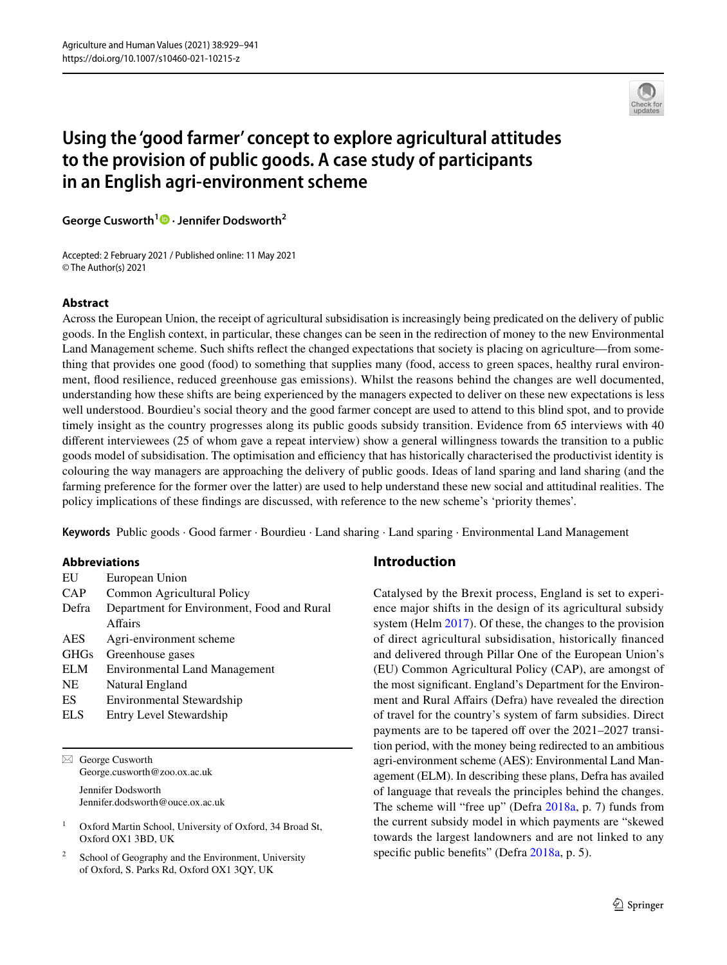

# **Using the 'good farmer' concept to explore agricultural attitudes to the provision of public goods. A case study of participants in an English agri‑environment scheme**

**George Cusworth1 · Jennifer Dodsworth2**

Accepted: 2 February 2021 / Published online: 11 May 2021 © The Author(s) 2021

#### **Abstract**

Across the European Union, the receipt of agricultural subsidisation is increasingly being predicated on the delivery of public goods. In the English context, in particular, these changes can be seen in the redirection of money to the new Environmental Land Management scheme. Such shifts refect the changed expectations that society is placing on agriculture—from something that provides one good (food) to something that supplies many (food, access to green spaces, healthy rural environment, food resilience, reduced greenhouse gas emissions). Whilst the reasons behind the changes are well documented, understanding how these shifts are being experienced by the managers expected to deliver on these new expectations is less well understood. Bourdieu's social theory and the good farmer concept are used to attend to this blind spot, and to provide timely insight as the country progresses along its public goods subsidy transition. Evidence from 65 interviews with 40 diferent interviewees (25 of whom gave a repeat interview) show a general willingness towards the transition to a public goods model of subsidisation. The optimisation and efficiency that has historically characterised the productivist identity is colouring the way managers are approaching the delivery of public goods. Ideas of land sparing and land sharing (and the farming preference for the former over the latter) are used to help understand these new social and attitudinal realities. The policy implications of these fndings are discussed, with reference to the new scheme's 'priority themes'.

**Keywords** Public goods · Good farmer · Bourdieu · Land sharing · Land sparing · Environmental Land Management

#### **Abbreviations**

| EU          | European Union                             |
|-------------|--------------------------------------------|
| CAP         | Common Agricultural Policy                 |
| Defra       | Department for Environment, Food and Rural |
|             | Affairs                                    |
| <b>AES</b>  | Agri-environment scheme                    |
| <b>GHGs</b> | Greenhouse gases                           |
| ELM         | <b>Environmental Land Management</b>       |
| NE          | Natural England                            |
| ES          | Environmental Stewardship                  |
| <b>ELS</b>  | Entry Level Stewardship                    |

 $\boxtimes$  George Cusworth George.cusworth@zoo.ox.ac.uk

> Jennifer Dodsworth Jennifer.dodsworth@ouce.ox.ac.uk

<sup>1</sup> Oxford Martin School, University of Oxford, 34 Broad St, Oxford OX1 3BD, UK

School of Geography and the Environment, University of Oxford, S. Parks Rd, Oxford OX1 3QY, UK

#### **Introduction**

Catalysed by the Brexit process, England is set to experience major shifts in the design of its agricultural subsidy system (Helm [2017\)](#page-11-0). Of these, the changes to the provision of direct agricultural subsidisation, historically fnanced and delivered through Pillar One of the European Union's (EU) Common Agricultural Policy (CAP), are amongst of the most signifcant. England's Department for the Environment and Rural Afairs (Defra) have revealed the direction of travel for the country's system of farm subsidies. Direct payments are to be tapered off over the 2021–2027 transition period, with the money being redirected to an ambitious agri-environment scheme (AES): Environmental Land Management (ELM). In describing these plans, Defra has availed of language that reveals the principles behind the changes. The scheme will "free up" (Defra [2018a,](#page-10-0) p. 7) funds from the current subsidy model in which payments are "skewed towards the largest landowners and are not linked to any specific public benefits" (Defra [2018a](#page-10-0), p. 5).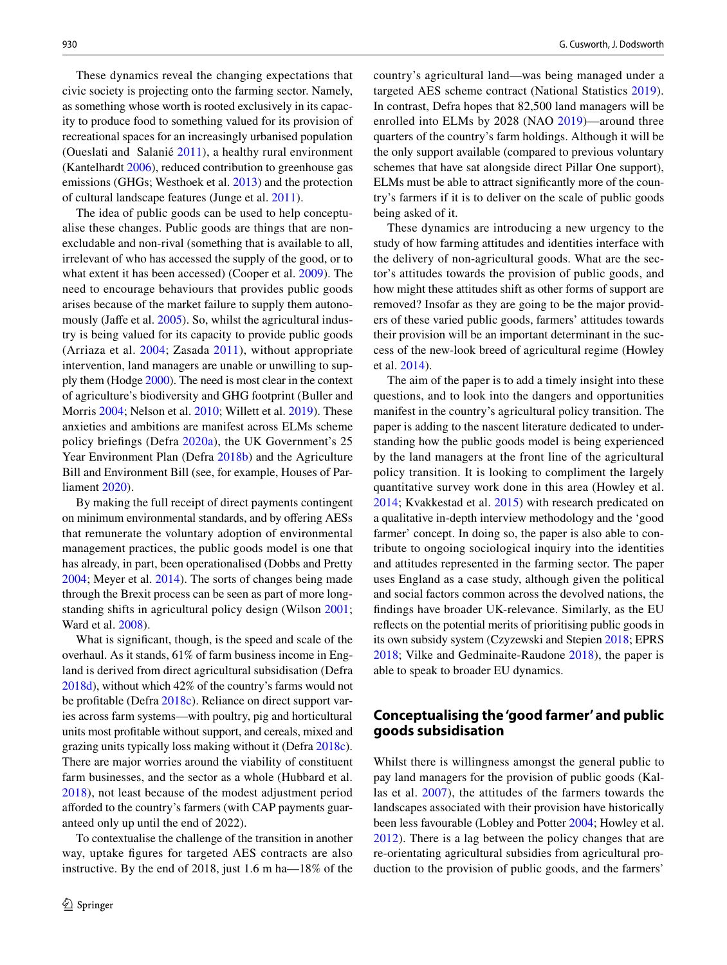These dynamics reveal the changing expectations that civic society is projecting onto the farming sector. Namely, as something whose worth is rooted exclusively in its capacity to produce food to something valued for its provision of recreational spaces for an increasingly urbanised population (Oueslati and Salanié [2011\)](#page-12-0), a healthy rural environment (Kantelhardt [2006](#page-11-1)), reduced contribution to greenhouse gas emissions (GHGs; Westhoek et al. [2013](#page-12-1)) and the protection of cultural landscape features (Junge et al. [2011\)](#page-11-2).

The idea of public goods can be used to help conceptualise these changes. Public goods are things that are nonexcludable and non-rival (something that is available to all, irrelevant of who has accessed the supply of the good, or to what extent it has been accessed) (Cooper et al. [2009](#page-10-1)). The need to encourage behaviours that provides public goods arises because of the market failure to supply them autono-mously (Jaffe et al. [2005](#page-11-3)). So, whilst the agricultural industry is being valued for its capacity to provide public goods (Arriaza et al. [2004;](#page-10-2) Zasada [2011](#page-12-2)), without appropriate intervention, land managers are unable or unwilling to supply them (Hodge [2000\)](#page-11-4). The need is most clear in the context of agriculture's biodiversity and GHG footprint (Buller and Morris [2004;](#page-10-3) Nelson et al. [2010](#page-12-3); Willett et al. [2019\)](#page-12-4). These anxieties and ambitions are manifest across ELMs scheme policy briefngs (Defra [2020a\)](#page-11-5), the UK Government's 25 Year Environment Plan (Defra [2018b](#page-11-6)) and the Agriculture Bill and Environment Bill (see, for example, Houses of Parliament [2020\)](#page-11-7).

By making the full receipt of direct payments contingent on minimum environmental standards, and by ofering AESs that remunerate the voluntary adoption of environmental management practices, the public goods model is one that has already, in part, been operationalised (Dobbs and Pretty [2004](#page-11-8); Meyer et al. [2014\)](#page-12-5). The sorts of changes being made through the Brexit process can be seen as part of more longstanding shifts in agricultural policy design (Wilson [2001](#page-12-6); Ward et al. [2008](#page-12-7)).

What is signifcant, though, is the speed and scale of the overhaul. As it stands, 61% of farm business income in England is derived from direct agricultural subsidisation (Defra [2018d\)](#page-11-9), without which 42% of the country's farms would not be proftable (Defra [2018c](#page-11-10)). Reliance on direct support varies across farm systems—with poultry, pig and horticultural units most proftable without support, and cereals, mixed and grazing units typically loss making without it (Defra [2018c](#page-11-10)). There are major worries around the viability of constituent farm businesses, and the sector as a whole (Hubbard et al. [2018\)](#page-11-11), not least because of the modest adjustment period aforded to the country's farmers (with CAP payments guaranteed only up until the end of 2022).

To contextualise the challenge of the transition in another way, uptake fgures for targeted AES contracts are also instructive. By the end of 2018, just 1.6 m ha—18% of the country's agricultural land—was being managed under a targeted AES scheme contract (National Statistics [2019](#page-12-8)). In contrast, Defra hopes that 82,500 land managers will be enrolled into ELMs by 2028 (NAO [2019\)](#page-12-9)—around three quarters of the country's farm holdings. Although it will be the only support available (compared to previous voluntary schemes that have sat alongside direct Pillar One support), ELMs must be able to attract signifcantly more of the country's farmers if it is to deliver on the scale of public goods being asked of it.

These dynamics are introducing a new urgency to the study of how farming attitudes and identities interface with the delivery of non-agricultural goods. What are the sector's attitudes towards the provision of public goods, and how might these attitudes shift as other forms of support are removed? Insofar as they are going to be the major providers of these varied public goods, farmers' attitudes towards their provision will be an important determinant in the success of the new-look breed of agricultural regime (Howley et al. [2014](#page-11-12)).

The aim of the paper is to add a timely insight into these questions, and to look into the dangers and opportunities manifest in the country's agricultural policy transition. The paper is adding to the nascent literature dedicated to understanding how the public goods model is being experienced by the land managers at the front line of the agricultural policy transition. It is looking to compliment the largely quantitative survey work done in this area (Howley et al. [2014](#page-11-12); Kvakkestad et al. [2015](#page-11-13)) with research predicated on a qualitative in-depth interview methodology and the 'good farmer' concept. In doing so, the paper is also able to contribute to ongoing sociological inquiry into the identities and attitudes represented in the farming sector. The paper uses England as a case study, although given the political and social factors common across the devolved nations, the fndings have broader UK-relevance. Similarly, as the EU refects on the potential merits of prioritising public goods in its own subsidy system (Czyzewski and Stepien [2018;](#page-10-4) EPRS [2018;](#page-11-14) Vilke and Gedminaite-Raudone [2018\)](#page-12-10), the paper is able to speak to broader EU dynamics.

# **Conceptualising the 'good farmer' and public goods subsidisation**

Whilst there is willingness amongst the general public to pay land managers for the provision of public goods (Kallas et al. [2007\)](#page-11-15), the attitudes of the farmers towards the landscapes associated with their provision have historically been less favourable (Lobley and Potter [2004](#page-12-11); Howley et al. [2012\)](#page-11-16). There is a lag between the policy changes that are re-orientating agricultural subsidies from agricultural production to the provision of public goods, and the farmers'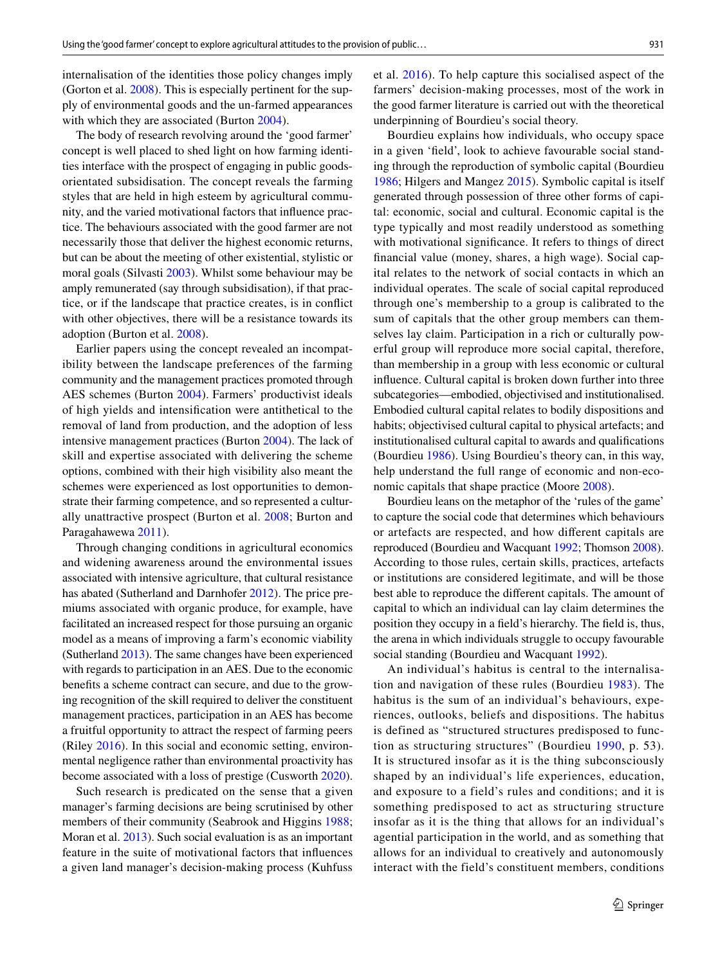internalisation of the identities those policy changes imply (Gorton et al. [2008\)](#page-11-17). This is especially pertinent for the supply of environmental goods and the un-farmed appearances with which they are associated (Burton [2004](#page-10-5)).

The body of research revolving around the 'good farmer' concept is well placed to shed light on how farming identities interface with the prospect of engaging in public goodsorientated subsidisation. The concept reveals the farming styles that are held in high esteem by agricultural community, and the varied motivational factors that infuence practice. The behaviours associated with the good farmer are not necessarily those that deliver the highest economic returns, but can be about the meeting of other existential, stylistic or moral goals (Silvasti [2003\)](#page-12-12). Whilst some behaviour may be amply remunerated (say through subsidisation), if that practice, or if the landscape that practice creates, is in confict with other objectives, there will be a resistance towards its adoption (Burton et al. [2008](#page-10-6)).

Earlier papers using the concept revealed an incompatibility between the landscape preferences of the farming community and the management practices promoted through AES schemes (Burton [2004](#page-10-5)). Farmers' productivist ideals of high yields and intensifcation were antithetical to the removal of land from production, and the adoption of less intensive management practices (Burton [2004\)](#page-10-5). The lack of skill and expertise associated with delivering the scheme options, combined with their high visibility also meant the schemes were experienced as lost opportunities to demonstrate their farming competence, and so represented a culturally unattractive prospect (Burton et al. [2008](#page-10-6); Burton and Paragahawewa [2011](#page-10-7)).

Through changing conditions in agricultural economics and widening awareness around the environmental issues associated with intensive agriculture, that cultural resistance has abated (Sutherland and Darnhofer [2012](#page-12-13)). The price premiums associated with organic produce, for example, have facilitated an increased respect for those pursuing an organic model as a means of improving a farm's economic viability (Sutherland [2013\)](#page-12-14). The same changes have been experienced with regards to participation in an AES. Due to the economic benefts a scheme contract can secure, and due to the growing recognition of the skill required to deliver the constituent management practices, participation in an AES has become a fruitful opportunity to attract the respect of farming peers (Riley [2016](#page-12-15)). In this social and economic setting, environmental negligence rather than environmental proactivity has become associated with a loss of prestige (Cusworth [2020](#page-10-8)).

Such research is predicated on the sense that a given manager's farming decisions are being scrutinised by other members of their community (Seabrook and Higgins [1988](#page-12-16); Moran et al. [2013\)](#page-12-17). Such social evaluation is as an important feature in the suite of motivational factors that infuences a given land manager's decision-making process (Kuhfuss

et al. [2016\)](#page-11-18). To help capture this socialised aspect of the farmers' decision-making processes, most of the work in the good farmer literature is carried out with the theoretical underpinning of Bourdieu's social theory.

Bourdieu explains how individuals, who occupy space in a given 'feld', look to achieve favourable social standing through the reproduction of symbolic capital (Bourdieu [1986](#page-10-9); Hilgers and Mangez [2015\)](#page-11-19). Symbolic capital is itself generated through possession of three other forms of capital: economic, social and cultural. Economic capital is the type typically and most readily understood as something with motivational signifcance. It refers to things of direct fnancial value (money, shares, a high wage). Social capital relates to the network of social contacts in which an individual operates. The scale of social capital reproduced through one's membership to a group is calibrated to the sum of capitals that the other group members can themselves lay claim. Participation in a rich or culturally powerful group will reproduce more social capital, therefore, than membership in a group with less economic or cultural infuence. Cultural capital is broken down further into three subcategories—embodied, objectivised and institutionalised. Embodied cultural capital relates to bodily dispositions and habits; objectivised cultural capital to physical artefacts; and institutionalised cultural capital to awards and qualifcations (Bourdieu [1986\)](#page-10-9). Using Bourdieu's theory can, in this way, help understand the full range of economic and non-economic capitals that shape practice (Moore [2008\)](#page-12-18).

Bourdieu leans on the metaphor of the 'rules of the game' to capture the social code that determines which behaviours or artefacts are respected, and how diferent capitals are reproduced (Bourdieu and Wacquant [1992;](#page-10-10) Thomson [2008](#page-12-19)). According to those rules, certain skills, practices, artefacts or institutions are considered legitimate, and will be those best able to reproduce the diferent capitals. The amount of capital to which an individual can lay claim determines the position they occupy in a feld's hierarchy. The feld is, thus, the arena in which individuals struggle to occupy favourable social standing (Bourdieu and Wacquant [1992](#page-10-10)).

An individual's habitus is central to the internalisation and navigation of these rules (Bourdieu [1983\)](#page-10-11). The habitus is the sum of an individual's behaviours, experiences, outlooks, beliefs and dispositions. The habitus is defined as "structured structures predisposed to function as structuring structures" (Bourdieu [1990,](#page-10-12) p. 53). It is structured insofar as it is the thing subconsciously shaped by an individual's life experiences, education, and exposure to a field's rules and conditions; and it is something predisposed to act as structuring structure insofar as it is the thing that allows for an individual's agential participation in the world, and as something that allows for an individual to creatively and autonomously interact with the field's constituent members, conditions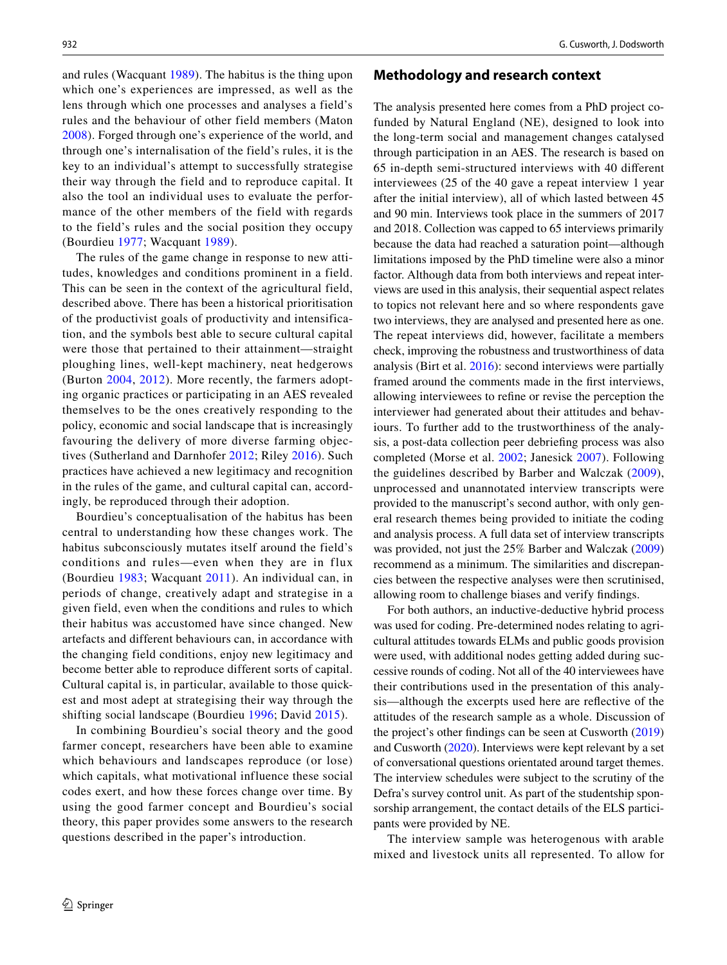and rules (Wacquant [1989\)](#page-12-20). The habitus is the thing upon which one's experiences are impressed, as well as the lens through which one processes and analyses a field's rules and the behaviour of other field members (Maton [2008\)](#page-12-21). Forged through one's experience of the world, and through one's internalisation of the field's rules, it is the key to an individual's attempt to successfully strategise their way through the field and to reproduce capital. It also the tool an individual uses to evaluate the performance of the other members of the field with regards to the field's rules and the social position they occupy (Bourdieu [1977](#page-10-13); Wacquant [1989\)](#page-12-20).

The rules of the game change in response to new attitudes, knowledges and conditions prominent in a field. This can be seen in the context of the agricultural field, described above. There has been a historical prioritisation of the productivist goals of productivity and intensification, and the symbols best able to secure cultural capital were those that pertained to their attainment—straight ploughing lines, well-kept machinery, neat hedgerows (Burton [2004,](#page-10-5) [2012\)](#page-10-14). More recently, the farmers adopting organic practices or participating in an AES revealed themselves to be the ones creatively responding to the policy, economic and social landscape that is increasingly favouring the delivery of more diverse farming objectives (Sutherland and Darnhofer [2012;](#page-12-13) Riley [2016](#page-12-15)). Such practices have achieved a new legitimacy and recognition in the rules of the game, and cultural capital can, accordingly, be reproduced through their adoption.

Bourdieu's conceptualisation of the habitus has been central to understanding how these changes work. The habitus subconsciously mutates itself around the field's conditions and rules—even when they are in flux (Bourdieu [1983;](#page-10-11) Wacquant [2011\)](#page-12-22). An individual can, in periods of change, creatively adapt and strategise in a given field, even when the conditions and rules to which their habitus was accustomed have since changed. New artefacts and different behaviours can, in accordance with the changing field conditions, enjoy new legitimacy and become better able to reproduce different sorts of capital. Cultural capital is, in particular, available to those quickest and most adept at strategising their way through the shifting social landscape (Bourdieu [1996](#page-10-15); David [2015](#page-10-16)).

In combining Bourdieu's social theory and the good farmer concept, researchers have been able to examine which behaviours and landscapes reproduce (or lose) which capitals, what motivational influence these social codes exert, and how these forces change over time. By using the good farmer concept and Bourdieu's social theory, this paper provides some answers to the research questions described in the paper's introduction.

#### **Methodology and research context**

The analysis presented here comes from a PhD project cofunded by Natural England (NE), designed to look into the long-term social and management changes catalysed through participation in an AES. The research is based on 65 in-depth semi-structured interviews with 40 diferent interviewees (25 of the 40 gave a repeat interview 1 year after the initial interview), all of which lasted between 45 and 90 min. Interviews took place in the summers of 2017 and 2018. Collection was capped to 65 interviews primarily because the data had reached a saturation point—although limitations imposed by the PhD timeline were also a minor factor. Although data from both interviews and repeat interviews are used in this analysis, their sequential aspect relates to topics not relevant here and so where respondents gave two interviews, they are analysed and presented here as one. The repeat interviews did, however, facilitate a members check, improving the robustness and trustworthiness of data analysis (Birt et al. [2016\)](#page-10-17): second interviews were partially framed around the comments made in the frst interviews, allowing interviewees to refne or revise the perception the interviewer had generated about their attitudes and behaviours. To further add to the trustworthiness of the analysis, a post-data collection peer debriefng process was also completed (Morse et al. [2002](#page-12-23); Janesick [2007](#page-11-20)). Following the guidelines described by Barber and Walczak [\(2009](#page-10-18)), unprocessed and unannotated interview transcripts were provided to the manuscript's second author, with only general research themes being provided to initiate the coding and analysis process. A full data set of interview transcripts was provided, not just the 25% Barber and Walczak ([2009\)](#page-10-18) recommend as a minimum. The similarities and discrepancies between the respective analyses were then scrutinised, allowing room to challenge biases and verify fndings.

For both authors, an inductive-deductive hybrid process was used for coding. Pre-determined nodes relating to agricultural attitudes towards ELMs and public goods provision were used, with additional nodes getting added during successive rounds of coding. Not all of the 40 interviewees have their contributions used in the presentation of this analysis—although the excerpts used here are refective of the attitudes of the research sample as a whole. Discussion of the project's other fndings can be seen at Cusworth ([2019\)](#page-10-19) and Cusworth [\(2020](#page-10-8)). Interviews were kept relevant by a set of conversational questions orientated around target themes. The interview schedules were subject to the scrutiny of the Defra's survey control unit. As part of the studentship sponsorship arrangement, the contact details of the ELS participants were provided by NE.

The interview sample was heterogenous with arable mixed and livestock units all represented. To allow for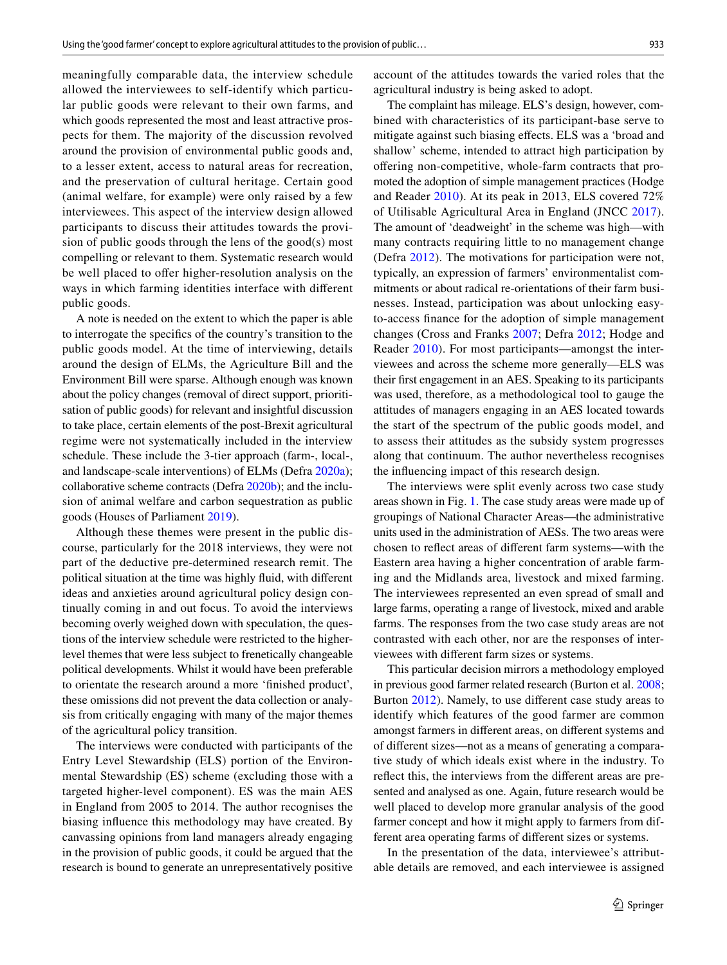meaningfully comparable data, the interview schedule allowed the interviewees to self-identify which particular public goods were relevant to their own farms, and which goods represented the most and least attractive prospects for them. The majority of the discussion revolved around the provision of environmental public goods and, to a lesser extent, access to natural areas for recreation, and the preservation of cultural heritage. Certain good (animal welfare, for example) were only raised by a few interviewees. This aspect of the interview design allowed participants to discuss their attitudes towards the provision of public goods through the lens of the good(s) most compelling or relevant to them. Systematic research would be well placed to offer higher-resolution analysis on the ways in which farming identities interface with diferent public goods.

A note is needed on the extent to which the paper is able to interrogate the specifcs of the country's transition to the public goods model. At the time of interviewing, details around the design of ELMs, the Agriculture Bill and the Environment Bill were sparse. Although enough was known about the policy changes (removal of direct support, prioritisation of public goods) for relevant and insightful discussion to take place, certain elements of the post-Brexit agricultural regime were not systematically included in the interview schedule. These include the 3-tier approach (farm-, local-, and landscape-scale interventions) of ELMs (Defra [2020a\)](#page-11-5); collaborative scheme contracts (Defra [2020b\)](#page-11-21); and the inclusion of animal welfare and carbon sequestration as public goods (Houses of Parliament [2019](#page-11-22)).

Although these themes were present in the public discourse, particularly for the 2018 interviews, they were not part of the deductive pre-determined research remit. The political situation at the time was highly fuid, with diferent ideas and anxieties around agricultural policy design continually coming in and out focus. To avoid the interviews becoming overly weighed down with speculation, the questions of the interview schedule were restricted to the higherlevel themes that were less subject to frenetically changeable political developments. Whilst it would have been preferable to orientate the research around a more 'fnished product', these omissions did not prevent the data collection or analysis from critically engaging with many of the major themes of the agricultural policy transition.

The interviews were conducted with participants of the Entry Level Stewardship (ELS) portion of the Environmental Stewardship (ES) scheme (excluding those with a targeted higher-level component). ES was the main AES in England from 2005 to 2014. The author recognises the biasing infuence this methodology may have created. By canvassing opinions from land managers already engaging in the provision of public goods, it could be argued that the research is bound to generate an unrepresentatively positive account of the attitudes towards the varied roles that the agricultural industry is being asked to adopt.

The complaint has mileage. ELS's design, however, combined with characteristics of its participant-base serve to mitigate against such biasing efects. ELS was a 'broad and shallow' scheme, intended to attract high participation by ofering non-competitive, whole-farm contracts that promoted the adoption of simple management practices (Hodge and Reader [2010](#page-11-23)). At its peak in 2013, ELS covered 72% of Utilisable Agricultural Area in England (JNCC [2017](#page-11-24)). The amount of 'deadweight' in the scheme was high—with many contracts requiring little to no management change (Defra [2012](#page-10-20)). The motivations for participation were not, typically, an expression of farmers' environmentalist commitments or about radical re-orientations of their farm businesses. Instead, participation was about unlocking easyto-access fnance for the adoption of simple management changes (Cross and Franks [2007;](#page-10-21) Defra [2012;](#page-10-20) Hodge and Reader [2010](#page-11-23)). For most participants—amongst the interviewees and across the scheme more generally—ELS was their frst engagement in an AES. Speaking to its participants was used, therefore, as a methodological tool to gauge the attitudes of managers engaging in an AES located towards the start of the spectrum of the public goods model, and to assess their attitudes as the subsidy system progresses along that continuum. The author nevertheless recognises the infuencing impact of this research design.

The interviews were split evenly across two case study areas shown in Fig. [1.](#page-5-0) The case study areas were made up of groupings of National Character Areas—the administrative units used in the administration of AESs. The two areas were chosen to refect areas of diferent farm systems—with the Eastern area having a higher concentration of arable farming and the Midlands area, livestock and mixed farming. The interviewees represented an even spread of small and large farms, operating a range of livestock, mixed and arable farms. The responses from the two case study areas are not contrasted with each other, nor are the responses of interviewees with diferent farm sizes or systems.

This particular decision mirrors a methodology employed in previous good farmer related research (Burton et al. [2008](#page-10-6); Burton [2012\)](#page-10-14). Namely, to use diferent case study areas to identify which features of the good farmer are common amongst farmers in diferent areas, on diferent systems and of diferent sizes—not as a means of generating a comparative study of which ideals exist where in the industry. To refect this, the interviews from the diferent areas are presented and analysed as one. Again, future research would be well placed to develop more granular analysis of the good farmer concept and how it might apply to farmers from different area operating farms of diferent sizes or systems.

In the presentation of the data, interviewee's attributable details are removed, and each interviewee is assigned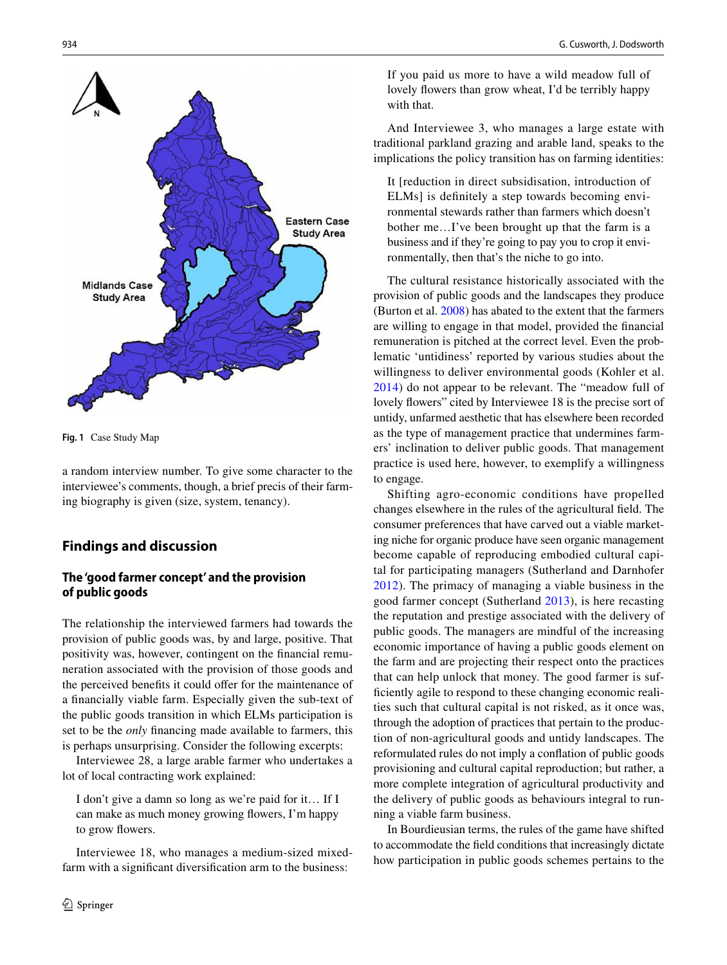

<span id="page-5-0"></span>**Fig. 1** Case Study Map

a random interview number. To give some character to the interviewee's comments, though, a brief precis of their farming biography is given (size, system, tenancy).

# **Findings and discussion**

## **The 'good farmer concept' and the provision of public goods**

The relationship the interviewed farmers had towards the provision of public goods was, by and large, positive. That positivity was, however, contingent on the fnancial remuneration associated with the provision of those goods and the perceived benefits it could offer for the maintenance of a fnancially viable farm. Especially given the sub-text of the public goods transition in which ELMs participation is set to be the *only* fnancing made available to farmers, this is perhaps unsurprising. Consider the following excerpts:

Interviewee 28, a large arable farmer who undertakes a lot of local contracting work explained:

I don't give a damn so long as we're paid for it… If I can make as much money growing fowers, I'm happy to grow flowers.

Interviewee 18, who manages a medium-sized mixedfarm with a signifcant diversifcation arm to the business:

If you paid us more to have a wild meadow full of lovely fowers than grow wheat, I'd be terribly happy with that.

And Interviewee 3, who manages a large estate with traditional parkland grazing and arable land, speaks to the implications the policy transition has on farming identities:

It [reduction in direct subsidisation, introduction of ELMs] is defnitely a step towards becoming environmental stewards rather than farmers which doesn't bother me…I've been brought up that the farm is a business and if they're going to pay you to crop it environmentally, then that's the niche to go into.

The cultural resistance historically associated with the provision of public goods and the landscapes they produce (Burton et al. [2008](#page-10-6)) has abated to the extent that the farmers are willing to engage in that model, provided the fnancial remuneration is pitched at the correct level. Even the problematic 'untidiness' reported by various studies about the willingness to deliver environmental goods (Kohler et al. [2014\)](#page-11-25) do not appear to be relevant. The "meadow full of lovely fowers" cited by Interviewee 18 is the precise sort of untidy, unfarmed aesthetic that has elsewhere been recorded as the type of management practice that undermines farmers' inclination to deliver public goods. That management practice is used here, however, to exemplify a willingness to engage.

Shifting agro-economic conditions have propelled changes elsewhere in the rules of the agricultural feld. The consumer preferences that have carved out a viable marketing niche for organic produce have seen organic management become capable of reproducing embodied cultural capital for participating managers (Sutherland and Darnhofer [2012\)](#page-12-13). The primacy of managing a viable business in the good farmer concept (Sutherland [2013](#page-12-14)), is here recasting the reputation and prestige associated with the delivery of public goods. The managers are mindful of the increasing economic importance of having a public goods element on the farm and are projecting their respect onto the practices that can help unlock that money. The good farmer is suffciently agile to respond to these changing economic realities such that cultural capital is not risked, as it once was, through the adoption of practices that pertain to the production of non-agricultural goods and untidy landscapes. The reformulated rules do not imply a confation of public goods provisioning and cultural capital reproduction; but rather, a more complete integration of agricultural productivity and the delivery of public goods as behaviours integral to running a viable farm business.

In Bourdieusian terms, the rules of the game have shifted to accommodate the feld conditions that increasingly dictate how participation in public goods schemes pertains to the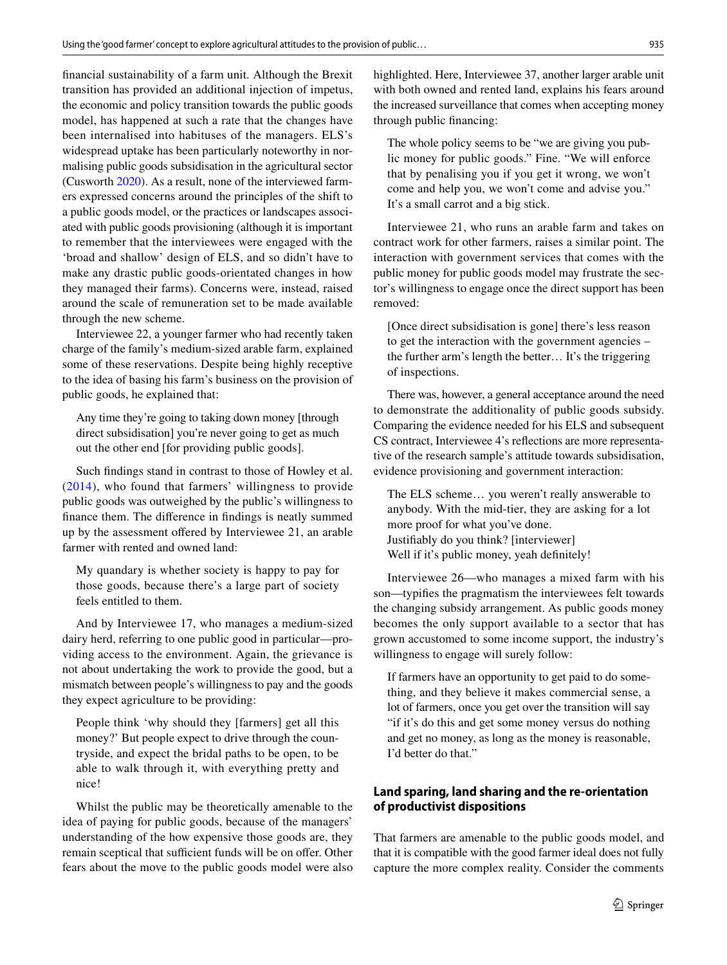fnancial sustainability of a farm unit. Although the Brexit transition has provided an additional injection of impetus, the economic and policy transition towards the public goods model, has happened at such a rate that the changes have been internalised into habituses of the managers. ELS's widespread uptake has been particularly noteworthy in normalising public goods subsidisation in the agricultural sector (Cusworth [2020\)](#page-10-8). As a result, none of the interviewed farmers expressed concerns around the principles of the shift to a public goods model, or the practices or landscapes associated with public goods provisioning (although it is important to remember that the interviewees were engaged with the 'broad and shallow' design of ELS, and so didn't have to make any drastic public goods-orientated changes in how they managed their farms). Concerns were, instead, raised around the scale of remuneration set to be made available through the new scheme.

Interviewee 22, a younger farmer who had recently taken charge of the family's medium-sized arable farm, explained some of these reservations. Despite being highly receptive to the idea of basing his farm's business on the provision of public goods, he explained that:

Any time they're going to taking down money [through direct subsidisation] you're never going to get as much out the other end [for providing public goods].

Such fndings stand in contrast to those of Howley et al. ([2014\)](#page-11-12), who found that farmers' willingness to provide public goods was outweighed by the public's willingness to fnance them. The diference in fndings is neatly summed up by the assessment ofered by Interviewee 21, an arable farmer with rented and owned land:

My quandary is whether society is happy to pay for those goods, because there's a large part of society feels entitled to them.

And by Interviewee 17, who manages a medium-sized dairy herd, referring to one public good in particular—providing access to the environment. Again, the grievance is not about undertaking the work to provide the good, but a mismatch between people's willingness to pay and the goods they expect agriculture to be providing:

People think 'why should they [farmers] get all this money?' But people expect to drive through the countryside, and expect the bridal paths to be open, to be able to walk through it, with everything pretty and nice!

Whilst the public may be theoretically amenable to the idea of paying for public goods, because of the managers' understanding of the how expensive those goods are, they remain sceptical that sufficient funds will be on offer. Other fears about the move to the public goods model were also highlighted. Here, Interviewee 37, another larger arable unit with both owned and rented land, explains his fears around the increased surveillance that comes when accepting money through public fnancing:

The whole policy seems to be "we are giving you public money for public goods." Fine. "We will enforce that by penalising you if you get it wrong, we won't come and help you, we won't come and advise you." It's a small carrot and a big stick.

Interviewee 21, who runs an arable farm and takes on contract work for other farmers, raises a similar point. The interaction with government services that comes with the public money for public goods model may frustrate the sector's willingness to engage once the direct support has been removed:

[Once direct subsidisation is gone] there's less reason to get the interaction with the government agencies – the further arm's length the better… It's the triggering of inspections.

There was, however, a general acceptance around the need to demonstrate the additionality of public goods subsidy. Comparing the evidence needed for his ELS and subsequent CS contract, Interviewee 4's refections are more representative of the research sample's attitude towards subsidisation, evidence provisioning and government interaction:

The ELS scheme… you weren't really answerable to anybody. With the mid-tier, they are asking for a lot more proof for what you've done. Justifably do you think? [interviewer] Well if it's public money, yeah definitely!

Interviewee 26—who manages a mixed farm with his son—typifes the pragmatism the interviewees felt towards the changing subsidy arrangement. As public goods money becomes the only support available to a sector that has grown accustomed to some income support, the industry's willingness to engage will surely follow:

If farmers have an opportunity to get paid to do something, and they believe it makes commercial sense, a lot of farmers, once you get over the transition will say "if it's do this and get some money versus do nothing and get no money, as long as the money is reasonable, I'd better do that."

# **Land sparing, land sharing and the re‑orientation of productivist dispositions**

That farmers are amenable to the public goods model, and that it is compatible with the good farmer ideal does not fully capture the more complex reality. Consider the comments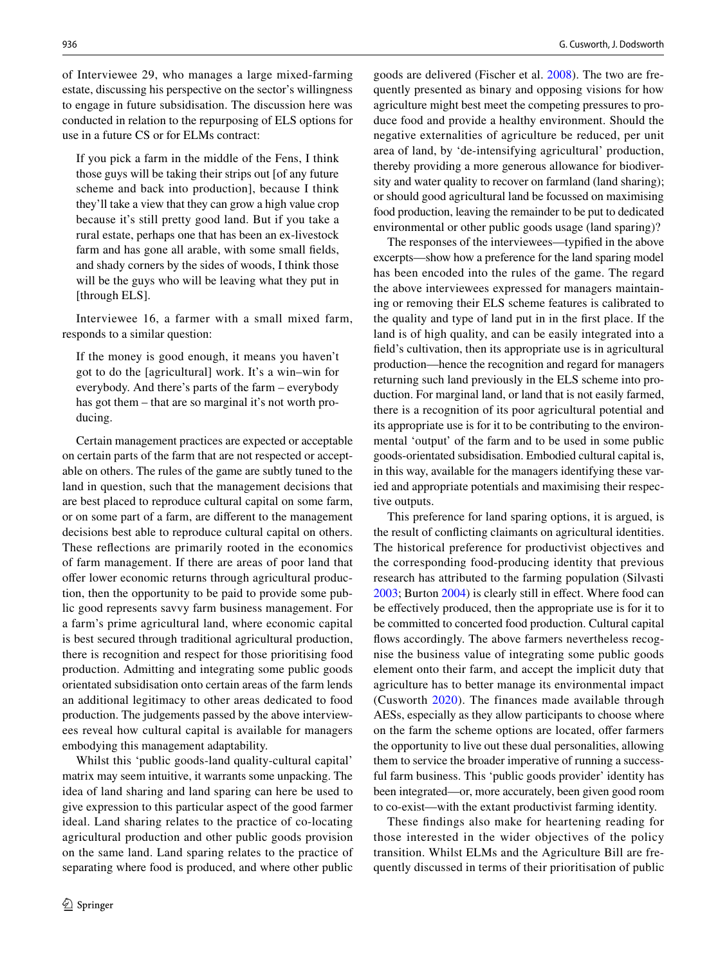of Interviewee 29, who manages a large mixed-farming estate, discussing his perspective on the sector's willingness to engage in future subsidisation. The discussion here was conducted in relation to the repurposing of ELS options for use in a future CS or for ELMs contract:

If you pick a farm in the middle of the Fens, I think those guys will be taking their strips out [of any future scheme and back into production], because I think they'll take a view that they can grow a high value crop because it's still pretty good land. But if you take a rural estate, perhaps one that has been an ex-livestock farm and has gone all arable, with some small felds, and shady corners by the sides of woods, I think those will be the guys who will be leaving what they put in [through ELS].

Interviewee 16, a farmer with a small mixed farm, responds to a similar question:

If the money is good enough, it means you haven't got to do the [agricultural] work. It's a win–win for everybody. And there's parts of the farm – everybody has got them – that are so marginal it's not worth producing.

Certain management practices are expected or acceptable on certain parts of the farm that are not respected or acceptable on others. The rules of the game are subtly tuned to the land in question, such that the management decisions that are best placed to reproduce cultural capital on some farm, or on some part of a farm, are diferent to the management decisions best able to reproduce cultural capital on others. These refections are primarily rooted in the economics of farm management. If there are areas of poor land that offer lower economic returns through agricultural production, then the opportunity to be paid to provide some public good represents savvy farm business management. For a farm's prime agricultural land, where economic capital is best secured through traditional agricultural production, there is recognition and respect for those prioritising food production. Admitting and integrating some public goods orientated subsidisation onto certain areas of the farm lends an additional legitimacy to other areas dedicated to food production. The judgements passed by the above interviewees reveal how cultural capital is available for managers embodying this management adaptability.

Whilst this 'public goods-land quality-cultural capital' matrix may seem intuitive, it warrants some unpacking. The idea of land sharing and land sparing can here be used to give expression to this particular aspect of the good farmer ideal. Land sharing relates to the practice of co-locating agricultural production and other public goods provision on the same land. Land sparing relates to the practice of separating where food is produced, and where other public goods are delivered (Fischer et al. [2008\)](#page-11-26). The two are frequently presented as binary and opposing visions for how agriculture might best meet the competing pressures to produce food and provide a healthy environment. Should the negative externalities of agriculture be reduced, per unit area of land, by 'de-intensifying agricultural' production, thereby providing a more generous allowance for biodiversity and water quality to recover on farmland (land sharing); or should good agricultural land be focussed on maximising food production, leaving the remainder to be put to dedicated environmental or other public goods usage (land sparing)?

The responses of the interviewees—typifed in the above excerpts—show how a preference for the land sparing model has been encoded into the rules of the game. The regard the above interviewees expressed for managers maintaining or removing their ELS scheme features is calibrated to the quality and type of land put in in the frst place. If the land is of high quality, and can be easily integrated into a feld's cultivation, then its appropriate use is in agricultural production—hence the recognition and regard for managers returning such land previously in the ELS scheme into production. For marginal land, or land that is not easily farmed, there is a recognition of its poor agricultural potential and its appropriate use is for it to be contributing to the environmental 'output' of the farm and to be used in some public goods-orientated subsidisation. Embodied cultural capital is, in this way, available for the managers identifying these varied and appropriate potentials and maximising their respective outputs.

This preference for land sparing options, it is argued, is the result of conficting claimants on agricultural identities. The historical preference for productivist objectives and the corresponding food-producing identity that previous research has attributed to the farming population (Silvasti [2003](#page-12-12); Burton [2004\)](#page-10-5) is clearly still in efect. Where food can be efectively produced, then the appropriate use is for it to be committed to concerted food production. Cultural capital flows accordingly. The above farmers nevertheless recognise the business value of integrating some public goods element onto their farm, and accept the implicit duty that agriculture has to better manage its environmental impact (Cusworth [2020](#page-10-8)). The finances made available through AESs, especially as they allow participants to choose where on the farm the scheme options are located, offer farmers the opportunity to live out these dual personalities, allowing them to service the broader imperative of running a successful farm business. This 'public goods provider' identity has been integrated—or, more accurately, been given good room to co-exist—with the extant productivist farming identity.

These fndings also make for heartening reading for those interested in the wider objectives of the policy transition. Whilst ELMs and the Agriculture Bill are frequently discussed in terms of their prioritisation of public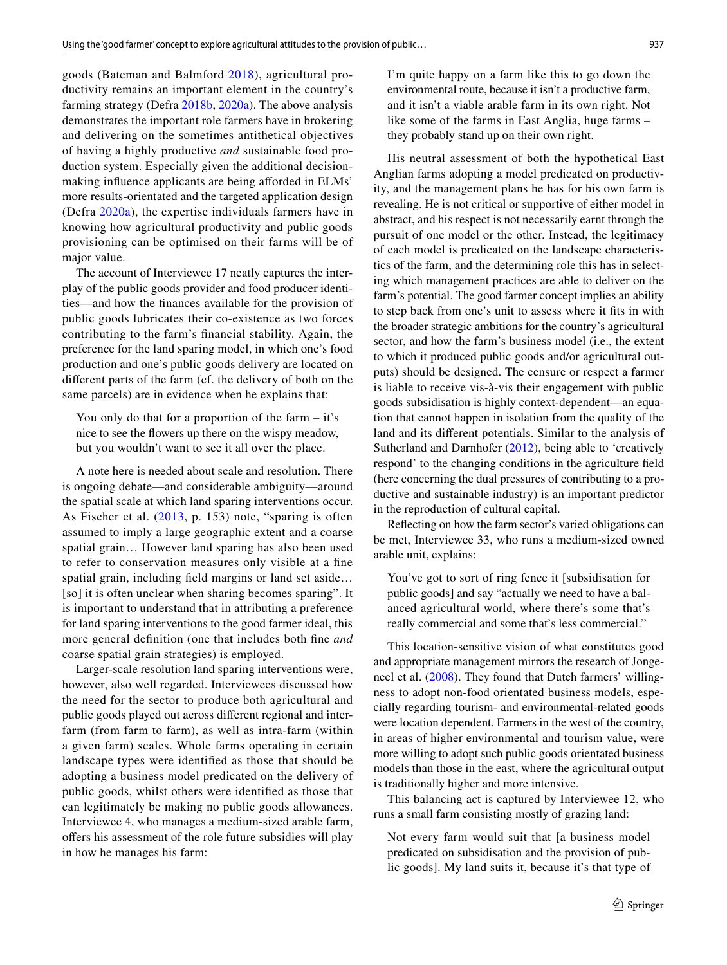goods (Bateman and Balmford [2018](#page-10-22)), agricultural productivity remains an important element in the country's farming strategy (Defra [2018b](#page-11-6), [2020a](#page-11-5)). The above analysis demonstrates the important role farmers have in brokering and delivering on the sometimes antithetical objectives of having a highly productive *and* sustainable food production system. Especially given the additional decisionmaking influence applicants are being afforded in ELMs' more results-orientated and the targeted application design (Defra [2020a](#page-11-5)), the expertise individuals farmers have in knowing how agricultural productivity and public goods provisioning can be optimised on their farms will be of major value.

The account of Interviewee 17 neatly captures the interplay of the public goods provider and food producer identities—and how the fnances available for the provision of public goods lubricates their co-existence as two forces contributing to the farm's fnancial stability. Again, the preference for the land sparing model, in which one's food production and one's public goods delivery are located on diferent parts of the farm (cf. the delivery of both on the same parcels) are in evidence when he explains that:

You only do that for a proportion of the farm – it's nice to see the fowers up there on the wispy meadow, but you wouldn't want to see it all over the place.

A note here is needed about scale and resolution. There is ongoing debate—and considerable ambiguity—around the spatial scale at which land sparing interventions occur. As Fischer et al. ([2013](#page-11-27), p. 153) note, "sparing is often assumed to imply a large geographic extent and a coarse spatial grain… However land sparing has also been used to refer to conservation measures only visible at a fne spatial grain, including feld margins or land set aside… [so] it is often unclear when sharing becomes sparing". It is important to understand that in attributing a preference for land sparing interventions to the good farmer ideal, this more general defnition (one that includes both fne *and* coarse spatial grain strategies) is employed.

Larger-scale resolution land sparing interventions were, however, also well regarded. Interviewees discussed how the need for the sector to produce both agricultural and public goods played out across diferent regional and interfarm (from farm to farm), as well as intra-farm (within a given farm) scales. Whole farms operating in certain landscape types were identifed as those that should be adopting a business model predicated on the delivery of public goods, whilst others were identifed as those that can legitimately be making no public goods allowances. Interviewee 4, who manages a medium-sized arable farm, offers his assessment of the role future subsidies will play in how he manages his farm:

I'm quite happy on a farm like this to go down the environmental route, because it isn't a productive farm, and it isn't a viable arable farm in its own right. Not like some of the farms in East Anglia, huge farms – they probably stand up on their own right.

His neutral assessment of both the hypothetical East Anglian farms adopting a model predicated on productivity, and the management plans he has for his own farm is revealing. He is not critical or supportive of either model in abstract, and his respect is not necessarily earnt through the pursuit of one model or the other. Instead, the legitimacy of each model is predicated on the landscape characteristics of the farm, and the determining role this has in selecting which management practices are able to deliver on the farm's potential. The good farmer concept implies an ability to step back from one's unit to assess where it fts in with the broader strategic ambitions for the country's agricultural sector, and how the farm's business model (i.e., the extent to which it produced public goods and/or agricultural outputs) should be designed. The censure or respect a farmer is liable to receive vis-à-vis their engagement with public goods subsidisation is highly context-dependent—an equation that cannot happen in isolation from the quality of the land and its diferent potentials. Similar to the analysis of Sutherland and Darnhofer [\(2012\)](#page-12-13), being able to 'creatively respond' to the changing conditions in the agriculture feld (here concerning the dual pressures of contributing to a productive and sustainable industry) is an important predictor in the reproduction of cultural capital.

Refecting on how the farm sector's varied obligations can be met, Interviewee 33, who runs a medium-sized owned arable unit, explains:

You've got to sort of ring fence it [subsidisation for public goods] and say "actually we need to have a balanced agricultural world, where there's some that's really commercial and some that's less commercial."

This location-sensitive vision of what constitutes good and appropriate management mirrors the research of Jongeneel et al. ([2008](#page-11-28)). They found that Dutch farmers' willingness to adopt non-food orientated business models, especially regarding tourism- and environmental-related goods were location dependent. Farmers in the west of the country, in areas of higher environmental and tourism value, were more willing to adopt such public goods orientated business models than those in the east, where the agricultural output is traditionally higher and more intensive.

This balancing act is captured by Interviewee 12, who runs a small farm consisting mostly of grazing land:

Not every farm would suit that [a business model predicated on subsidisation and the provision of public goods]. My land suits it, because it's that type of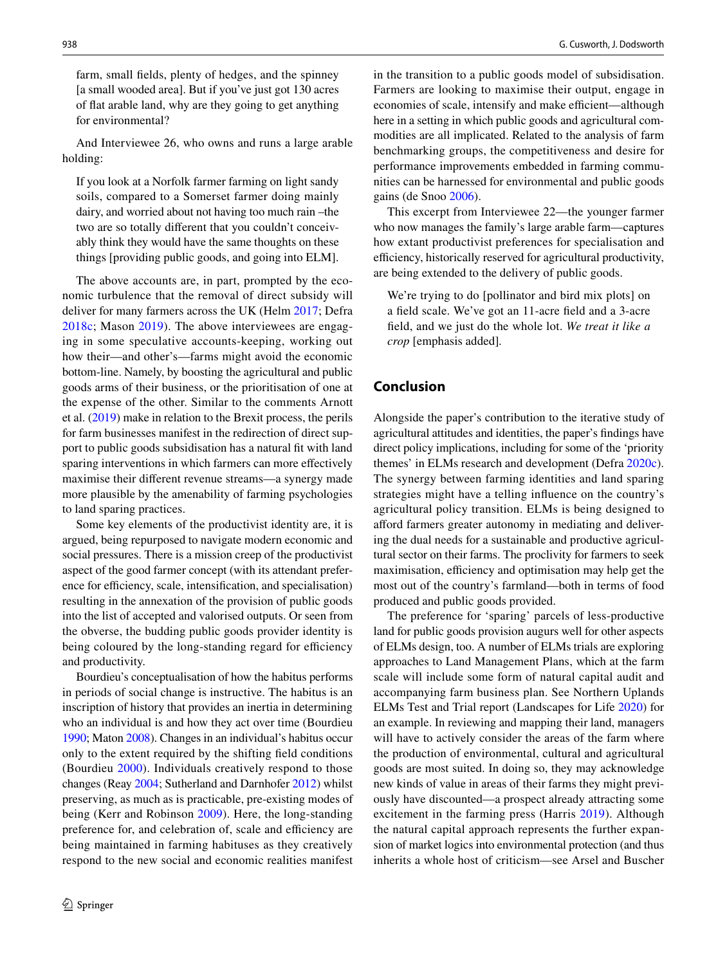farm, small felds, plenty of hedges, and the spinney [a small wooded area]. But if you've just got 130 acres of fat arable land, why are they going to get anything for environmental?

And Interviewee 26, who owns and runs a large arable holding:

If you look at a Norfolk farmer farming on light sandy soils, compared to a Somerset farmer doing mainly dairy, and worried about not having too much rain –the two are so totally diferent that you couldn't conceivably think they would have the same thoughts on these things [providing public goods, and going into ELM].

The above accounts are, in part, prompted by the economic turbulence that the removal of direct subsidy will deliver for many farmers across the UK (Helm [2017;](#page-11-0) Defra [2018c](#page-11-10); Mason [2019](#page-12-24)). The above interviewees are engaging in some speculative accounts-keeping, working out how their—and other's—farms might avoid the economic bottom-line. Namely, by boosting the agricultural and public goods arms of their business, or the prioritisation of one at the expense of the other. Similar to the comments Arnott et al. [\(2019](#page-10-23)) make in relation to the Brexit process, the perils for farm businesses manifest in the redirection of direct support to public goods subsidisation has a natural ft with land sparing interventions in which farmers can more effectively maximise their diferent revenue streams—a synergy made more plausible by the amenability of farming psychologies to land sparing practices.

Some key elements of the productivist identity are, it is argued, being repurposed to navigate modern economic and social pressures. There is a mission creep of the productivist aspect of the good farmer concept (with its attendant preference for efficiency, scale, intensification, and specialisation) resulting in the annexation of the provision of public goods into the list of accepted and valorised outputs. Or seen from the obverse, the budding public goods provider identity is being coloured by the long-standing regard for efficiency and productivity.

Bourdieu's conceptualisation of how the habitus performs in periods of social change is instructive. The habitus is an inscription of history that provides an inertia in determining who an individual is and how they act over time (Bourdieu [1990;](#page-10-12) Maton [2008](#page-12-21)). Changes in an individual's habitus occur only to the extent required by the shifting feld conditions (Bourdieu [2000\)](#page-10-24). Individuals creatively respond to those changes (Reay [2004](#page-12-25); Sutherland and Darnhofer [2012](#page-12-13)) whilst preserving, as much as is practicable, pre-existing modes of being (Kerr and Robinson [2009](#page-11-29)). Here, the long-standing preference for, and celebration of, scale and efficiency are being maintained in farming habituses as they creatively respond to the new social and economic realities manifest

in the transition to a public goods model of subsidisation. Farmers are looking to maximise their output, engage in economies of scale, intensify and make efficient—although here in a setting in which public goods and agricultural commodities are all implicated. Related to the analysis of farm benchmarking groups, the competitiveness and desire for performance improvements embedded in farming communities can be harnessed for environmental and public goods gains (de Snoo [2006\)](#page-12-26).

This excerpt from Interviewee 22—the younger farmer who now manages the family's large arable farm—captures how extant productivist preferences for specialisation and efficiency, historically reserved for agricultural productivity, are being extended to the delivery of public goods.

We're trying to do [pollinator and bird mix plots] on a feld scale. We've got an 11-acre feld and a 3-acre feld, and we just do the whole lot. *We treat it like a crop* [emphasis added]*.*

## **Conclusion**

Alongside the paper's contribution to the iterative study of agricultural attitudes and identities, the paper's fndings have direct policy implications, including for some of the 'priority themes' in ELMs research and development (Defra [2020c](#page-11-30)). The synergy between farming identities and land sparing strategies might have a telling infuence on the country's agricultural policy transition. ELMs is being designed to aford farmers greater autonomy in mediating and delivering the dual needs for a sustainable and productive agricultural sector on their farms. The proclivity for farmers to seek maximisation, efficiency and optimisation may help get the most out of the country's farmland—both in terms of food produced and public goods provided.

The preference for 'sparing' parcels of less-productive land for public goods provision augurs well for other aspects of ELMs design, too. A number of ELMs trials are exploring approaches to Land Management Plans, which at the farm scale will include some form of natural capital audit and accompanying farm business plan. See Northern Uplands ELMs Test and Trial report (Landscapes for Life [2020\)](#page-11-31) for an example. In reviewing and mapping their land, managers will have to actively consider the areas of the farm where the production of environmental, cultural and agricultural goods are most suited. In doing so, they may acknowledge new kinds of value in areas of their farms they might previously have discounted—a prospect already attracting some excitement in the farming press (Harris [2019\)](#page-11-32). Although the natural capital approach represents the further expansion of market logics into environmental protection (and thus inherits a whole host of criticism—see Arsel and Buscher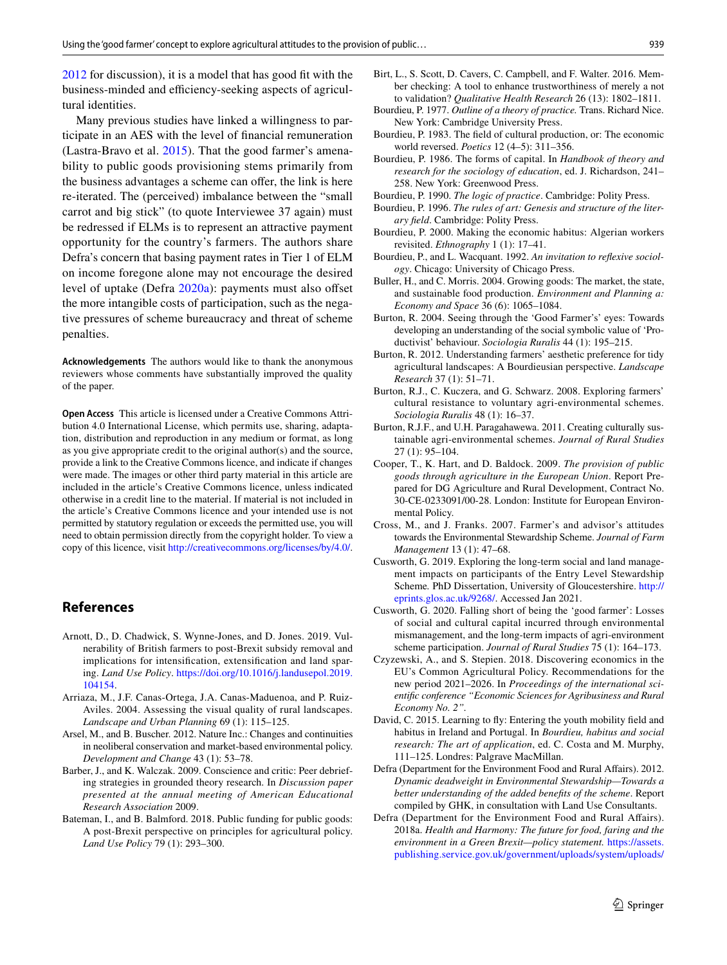[2012](#page-10-25) for discussion), it is a model that has good fit with the business-minded and efficiency-seeking aspects of agricultural identities.

Many previous studies have linked a willingness to participate in an AES with the level of fnancial remuneration (Lastra-Bravo et al. [2015\)](#page-11-33). That the good farmer's amenability to public goods provisioning stems primarily from the business advantages a scheme can offer, the link is here re-iterated. The (perceived) imbalance between the "small carrot and big stick" (to quote Interviewee 37 again) must be redressed if ELMs is to represent an attractive payment opportunity for the country's farmers. The authors share Defra's concern that basing payment rates in Tier 1 of ELM on income foregone alone may not encourage the desired level of uptake (Defra [2020a\)](#page-11-5): payments must also offset the more intangible costs of participation, such as the negative pressures of scheme bureaucracy and threat of scheme penalties.

**Acknowledgements** The authors would like to thank the anonymous reviewers whose comments have substantially improved the quality of the paper.

**Open Access** This article is licensed under a Creative Commons Attribution 4.0 International License, which permits use, sharing, adaptation, distribution and reproduction in any medium or format, as long as you give appropriate credit to the original author(s) and the source, provide a link to the Creative Commons licence, and indicate if changes were made. The images or other third party material in this article are included in the article's Creative Commons licence, unless indicated otherwise in a credit line to the material. If material is not included in the article's Creative Commons licence and your intended use is not permitted by statutory regulation or exceeds the permitted use, you will need to obtain permission directly from the copyright holder. To view a copy of this licence, visit <http://creativecommons.org/licenses/by/4.0/>.

#### **References**

- <span id="page-10-23"></span>Arnott, D., D. Chadwick, S. Wynne-Jones, and D. Jones. 2019. Vulnerability of British farmers to post-Brexit subsidy removal and implications for intensifcation, extensifcation and land sparing. *Land Use Policy*. [https://doi.org/10.1016/j.landusepol.2019.](https://doi.org/10.1016/j.landusepol.2019.104154) [104154.](https://doi.org/10.1016/j.landusepol.2019.104154)
- <span id="page-10-2"></span>Arriaza, M., J.F. Canas-Ortega, J.A. Canas-Maduenoa, and P. Ruiz-Aviles. 2004. Assessing the visual quality of rural landscapes. *Landscape and Urban Planning* 69 (1): 115–125.
- <span id="page-10-25"></span>Arsel, M., and B. Buscher. 2012. Nature Inc.: Changes and continuities in neoliberal conservation and market-based environmental policy. *Development and Change* 43 (1): 53–78.
- <span id="page-10-18"></span>Barber, J., and K. Walczak. 2009. Conscience and critic: Peer debriefing strategies in grounded theory research. In *Discussion paper presented at the annual meeting of American Educational Research Association* 2009.
- <span id="page-10-22"></span>Bateman, I., and B. Balmford. 2018. Public funding for public goods: A post-Brexit perspective on principles for agricultural policy. *Land Use Policy* 79 (1): 293–300.
- <span id="page-10-17"></span>Birt, L., S. Scott, D. Cavers, C. Campbell, and F. Walter. 2016. Member checking: A tool to enhance trustworthiness of merely a not to validation? *Qualitative Health Research* 26 (13): 1802–1811.
- <span id="page-10-13"></span>Bourdieu, P. 1977. *Outline of a theory of practice.* Trans. Richard Nice. New York: Cambridge University Press.
- <span id="page-10-11"></span>Bourdieu, P. 1983. The feld of cultural production, or: The economic world reversed. *Poetics* 12 (4–5): 311–356.
- <span id="page-10-9"></span>Bourdieu, P. 1986. The forms of capital. In *Handbook of theory and research for the sociology of education*, ed. J. Richardson, 241– 258. New York: Greenwood Press.
- <span id="page-10-12"></span>Bourdieu, P. 1990. *The logic of practice*. Cambridge: Polity Press.
- <span id="page-10-15"></span>Bourdieu, P. 1996. *The rules of art: Genesis and structure of the literary feld*. Cambridge: Polity Press.
- <span id="page-10-24"></span>Bourdieu, P. 2000. Making the economic habitus: Algerian workers revisited. *Ethnography* 1 (1): 17–41.
- <span id="page-10-10"></span>Bourdieu, P., and L. Wacquant. 1992. *An invitation to refexive sociology*. Chicago: University of Chicago Press.
- <span id="page-10-3"></span>Buller, H., and C. Morris. 2004. Growing goods: The market, the state, and sustainable food production. *Environment and Planning a: Economy and Space* 36 (6): 1065–1084.
- <span id="page-10-5"></span>Burton, R. 2004. Seeing through the 'Good Farmer's' eyes: Towards developing an understanding of the social symbolic value of 'Productivist' behaviour. *Sociologia Ruralis* 44 (1): 195–215.
- <span id="page-10-14"></span>Burton, R. 2012. Understanding farmers' aesthetic preference for tidy agricultural landscapes: A Bourdieusian perspective. *Landscape Research* 37 (1): 51–71.
- <span id="page-10-6"></span>Burton, R.J., C. Kuczera, and G. Schwarz. 2008. Exploring farmers' cultural resistance to voluntary agri-environmental schemes. *Sociologia Ruralis* 48 (1): 16–37.
- <span id="page-10-7"></span>Burton, R.J.F., and U.H. Paragahawewa. 2011. Creating culturally sustainable agri-environmental schemes. *Journal of Rural Studies* 27 (1): 95–104.
- <span id="page-10-1"></span>Cooper, T., K. Hart, and D. Baldock. 2009. *The provision of public goods through agriculture in the European Union*. Report Prepared for DG Agriculture and Rural Development, Contract No. 30-CE-0233091/00-28. London: Institute for European Environmental Policy.
- <span id="page-10-21"></span>Cross, M., and J. Franks. 2007. Farmer's and advisor's attitudes towards the Environmental Stewardship Scheme. *Journal of Farm Management* 13 (1): 47–68.
- <span id="page-10-19"></span>Cusworth, G. 2019. Exploring the long-term social and land management impacts on participants of the Entry Level Stewardship Scheme*.* PhD Dissertation, University of Gloucestershire. [http://](http://eprints.glos.ac.uk/9268/) [eprints.glos.ac.uk/9268/.](http://eprints.glos.ac.uk/9268/) Accessed Jan 2021.
- <span id="page-10-8"></span>Cusworth, G. 2020. Falling short of being the 'good farmer': Losses of social and cultural capital incurred through environmental mismanagement, and the long-term impacts of agri-environment scheme participation. *Journal of Rural Studies* 75 (1): 164–173.
- <span id="page-10-4"></span>Czyzewski, A., and S. Stepien. 2018. Discovering economics in the EU's Common Agricultural Policy. Recommendations for the new period 2021–2026. In *Proceedings of the international scientifc conference "Economic Sciences for Agribusiness and Rural Economy No. 2".*
- <span id="page-10-16"></span>David, C. 2015. Learning to fy: Entering the youth mobility feld and habitus in Ireland and Portugal. In *Bourdieu, habitus and social research: The art of application*, ed. C. Costa and M. Murphy, 111–125. Londres: Palgrave MacMillan.
- <span id="page-10-20"></span>Defra (Department for the Environment Food and Rural Afairs). 2012. *Dynamic deadweight in Environmental Stewardship—Towards a better understanding of the added benefts of the scheme*. Report compiled by GHK, in consultation with Land Use Consultants.
- <span id="page-10-0"></span>Defra (Department for the Environment Food and Rural Afairs). 2018a. *Health and Harmony: The future for food, faring and the environment in a Green Brexit—policy statement.* [https://assets.](https://assets.publishing.service.gov.uk/government/uploads/system/uploads/attachment_data/file/684003/future-farming-environment-consult-document.pdf) [publishing.service.gov.uk/government/uploads/system/uploads/](https://assets.publishing.service.gov.uk/government/uploads/system/uploads/attachment_data/file/684003/future-farming-environment-consult-document.pdf)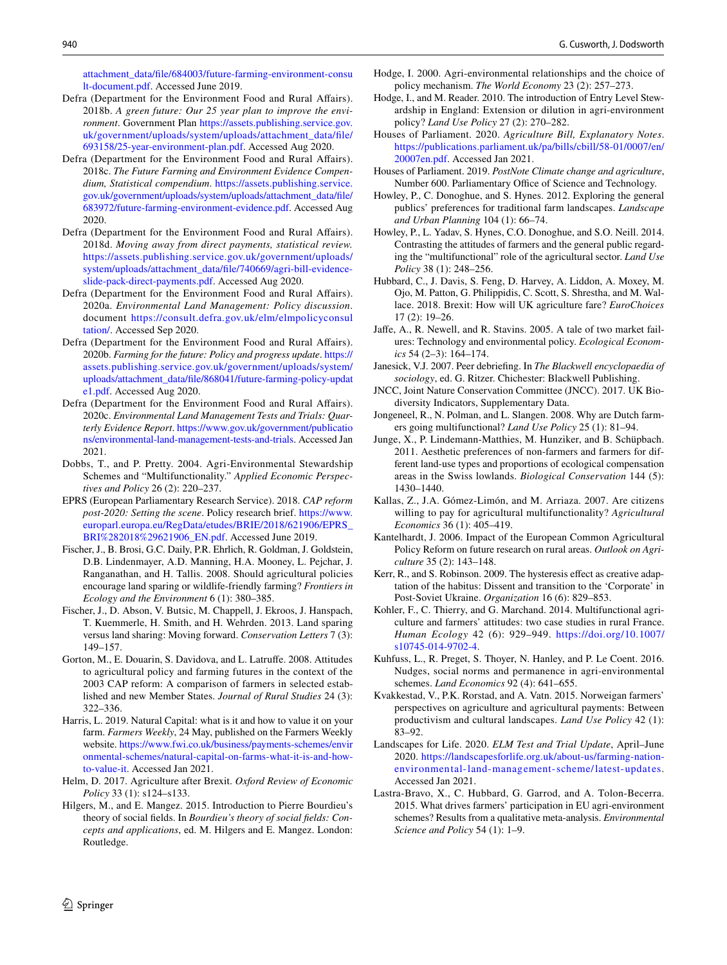[attachment\\_data/fle/684003/future-farming-environment-consu](https://assets.publishing.service.gov.uk/government/uploads/system/uploads/attachment_data/file/684003/future-farming-environment-consult-document.pdf) [lt-document.pdf](https://assets.publishing.service.gov.uk/government/uploads/system/uploads/attachment_data/file/684003/future-farming-environment-consult-document.pdf). Accessed June 2019.

- <span id="page-11-6"></span>Defra (Department for the Environment Food and Rural Afairs). 2018b. *A green future: Our 25 year plan to improve the environment*. Government Plan [https://assets.publishing.service.gov.](https://assets.publishing.service.gov.uk/government/uploads/system/uploads/attachment_data/file/693158/25-year-environment-plan.pdf) [uk/government/uploads/system/uploads/attachment\\_data/fle/](https://assets.publishing.service.gov.uk/government/uploads/system/uploads/attachment_data/file/693158/25-year-environment-plan.pdf) [693158/25-year-environment-plan.pdf](https://assets.publishing.service.gov.uk/government/uploads/system/uploads/attachment_data/file/693158/25-year-environment-plan.pdf). Accessed Aug 2020.
- <span id="page-11-10"></span>Defra (Department for the Environment Food and Rural Afairs). 2018c. *The Future Farming and Environment Evidence Compendium, Statistical compendium*. [https://assets.publishing.service.](https://assets.publishing.service.gov.uk/government/uploads/system/uploads/attachment_data/file/683972/future-farming-environment-evidence.pdf) [gov.uk/government/uploads/system/uploads/attachment\\_data/fle/](https://assets.publishing.service.gov.uk/government/uploads/system/uploads/attachment_data/file/683972/future-farming-environment-evidence.pdf) [683972/future-farming-environment-evidence.pdf.](https://assets.publishing.service.gov.uk/government/uploads/system/uploads/attachment_data/file/683972/future-farming-environment-evidence.pdf) Accessed Aug 2020.
- <span id="page-11-9"></span>Defra (Department for the Environment Food and Rural Afairs). 2018d. *Moving away from direct payments, statistical review.* [https://assets.publishing.service.gov.uk/government/uploads/](https://assets.publishing.service.gov.uk/government/uploads/system/uploads/attachment_data/file/740669/agri-bill-evidence-slide-pack-direct-payments.pdf) [system/uploads/attachment\\_data/fle/740669/agri-bill-evidence](https://assets.publishing.service.gov.uk/government/uploads/system/uploads/attachment_data/file/740669/agri-bill-evidence-slide-pack-direct-payments.pdf)[slide-pack-direct-payments.pdf](https://assets.publishing.service.gov.uk/government/uploads/system/uploads/attachment_data/file/740669/agri-bill-evidence-slide-pack-direct-payments.pdf). Accessed Aug 2020.
- <span id="page-11-5"></span>Defra (Department for the Environment Food and Rural Afairs). 2020a. *Environmental Land Management: Policy discussion*. document [https://consult.defra.gov.uk/elm/elmpolicyconsul](https://consult.defra.gov.uk/elm/elmpolicyconsultation/) [tation/](https://consult.defra.gov.uk/elm/elmpolicyconsultation/). Accessed Sep 2020.
- <span id="page-11-21"></span>Defra (Department for the Environment Food and Rural Afairs). 2020b. *Farming for the future: Policy and progress update*. [https://](https://assets.publishing.service.gov.uk/government/uploads/system/uploads/attachment_data/file/868041/future-farming-policy-update1.pdf) [assets.publishing.service.gov.uk/government/uploads/system/](https://assets.publishing.service.gov.uk/government/uploads/system/uploads/attachment_data/file/868041/future-farming-policy-update1.pdf) [uploads/attachment\\_data/fle/868041/future-farming-policy-updat](https://assets.publishing.service.gov.uk/government/uploads/system/uploads/attachment_data/file/868041/future-farming-policy-update1.pdf) [e1.pdf.](https://assets.publishing.service.gov.uk/government/uploads/system/uploads/attachment_data/file/868041/future-farming-policy-update1.pdf) Accessed Aug 2020.
- <span id="page-11-30"></span>Defra (Department for the Environment Food and Rural Afairs). 2020c. *Environmental Land Management Tests and Trials: Quarterly Evidence Report*. [https://www.gov.uk/government/publicatio](https://www.gov.uk/government/publications/environmental-land-management-tests-and-trials) [ns/environmental-land-management-tests-and-trials.](https://www.gov.uk/government/publications/environmental-land-management-tests-and-trials) Accessed Jan 2021.
- <span id="page-11-8"></span>Dobbs, T., and P. Pretty. 2004. Agri-Environmental Stewardship Schemes and "Multifunctionality." *Applied Economic Perspectives and Policy* 26 (2): 220–237.
- <span id="page-11-14"></span>EPRS (European Parliamentary Research Service). 2018. *CAP reform post-2020: Setting the scene*. Policy research brief. [https://www.](https://www.europarl.europa.eu/RegData/etudes/BRIE/2018/621906/EPRS_BRI%282018%29621906_EN.pdf) [europarl.europa.eu/RegData/etudes/BRIE/2018/621906/EPRS\\_](https://www.europarl.europa.eu/RegData/etudes/BRIE/2018/621906/EPRS_BRI%282018%29621906_EN.pdf) [BRI%282018%29621906\\_EN.pdf](https://www.europarl.europa.eu/RegData/etudes/BRIE/2018/621906/EPRS_BRI%282018%29621906_EN.pdf). Accessed June 2019.
- <span id="page-11-26"></span>Fischer, J., B. Brosi, G.C. Daily, P.R. Ehrlich, R. Goldman, J. Goldstein, D.B. Lindenmayer, A.D. Manning, H.A. Mooney, L. Pejchar, J. Ranganathan, and H. Tallis. 2008. Should agricultural policies encourage land sparing or wildlife-friendly farming? *Frontiers in Ecology and the Environment* 6 (1): 380–385.
- <span id="page-11-27"></span>Fischer, J., D. Abson, V. Butsic, M. Chappell, J. Ekroos, J. Hanspach, T. Kuemmerle, H. Smith, and H. Wehrden. 2013. Land sparing versus land sharing: Moving forward. *Conservation Letters* 7 (3): 149–157.
- <span id="page-11-17"></span>Gorton, M., E. Douarin, S. Davidova, and L. Latrufe. 2008. Attitudes to agricultural policy and farming futures in the context of the 2003 CAP reform: A comparison of farmers in selected established and new Member States. *Journal of Rural Studies* 24 (3): 322–336.
- <span id="page-11-32"></span>Harris, L. 2019. Natural Capital: what is it and how to value it on your farm. *Farmers Weekly*, 24 May, published on the Farmers Weekly website. [https://www.fwi.co.uk/business/payments-schemes/envir](https://www.fwi.co.uk/business/payments-schemes/environmental-schemes/natural-capital-on-farms-what-it-is-and-how-to-value-it) [onmental-schemes/natural-capital-on-farms-what-it-is-and-how](https://www.fwi.co.uk/business/payments-schemes/environmental-schemes/natural-capital-on-farms-what-it-is-and-how-to-value-it)[to-value-it.](https://www.fwi.co.uk/business/payments-schemes/environmental-schemes/natural-capital-on-farms-what-it-is-and-how-to-value-it) Accessed Jan 2021.
- <span id="page-11-0"></span>Helm, D. 2017. Agriculture after Brexit. *Oxford Review of Economic Policy* 33 (1): s124–s133.
- <span id="page-11-19"></span>Hilgers, M., and E. Mangez. 2015. Introduction to Pierre Bourdieu's theory of social felds. In *Bourdieu's theory of social felds: Concepts and applications*, ed. M. Hilgers and E. Mangez. London: Routledge.
- <span id="page-11-4"></span>Hodge, I. 2000. Agri-environmental relationships and the choice of policy mechanism. *The World Economy* 23 (2): 257–273.
- <span id="page-11-23"></span>Hodge, I., and M. Reader. 2010. The introduction of Entry Level Stewardship in England: Extension or dilution in agri-environment policy? *Land Use Policy* 27 (2): 270–282.
- <span id="page-11-7"></span>Houses of Parliament. 2020. *Agriculture Bill, Explanatory Notes*. [https://publications.parliament.uk/pa/bills/cbill/58-01/0007/en/](https://publications.parliament.uk/pa/bills/cbill/58-01/0007/en/20007en.pdf) [20007en.pdf](https://publications.parliament.uk/pa/bills/cbill/58-01/0007/en/20007en.pdf). Accessed Jan 2021.
- <span id="page-11-22"></span>Houses of Parliament. 2019. *PostNote Climate change and agriculture*, Number 600. Parliamentary Office of Science and Technology.
- <span id="page-11-16"></span>Howley, P., C. Donoghue, and S. Hynes. 2012. Exploring the general publics' preferences for traditional farm landscapes. *Landscape and Urban Planning* 104 (1): 66–74.
- <span id="page-11-12"></span>Howley, P., L. Yadav, S. Hynes, C.O. Donoghue, and S.O. Neill. 2014. Contrasting the attitudes of farmers and the general public regarding the "multifunctional" role of the agricultural sector. *Land Use Policy* 38 (1): 248–256.
- <span id="page-11-11"></span>Hubbard, C., J. Davis, S. Feng, D. Harvey, A. Liddon, A. Moxey, M. Ojo, M. Patton, G. Philippidis, C. Scott, S. Shrestha, and M. Wallace. 2018. Brexit: How will UK agriculture fare? *EuroChoices* 17 (2): 19–26.
- <span id="page-11-3"></span>Jafe, A., R. Newell, and R. Stavins. 2005. A tale of two market failures: Technology and environmental policy. *Ecological Economics* 54 (2–3): 164–174.
- <span id="page-11-20"></span>Janesick, V.J. 2007. Peer debriefng. In *The Blackwell encyclopaedia of sociology*, ed. G. Ritzer. Chichester: Blackwell Publishing.
- <span id="page-11-24"></span>JNCC, Joint Nature Conservation Committee (JNCC). 2017. UK Biodiversity Indicators, Supplementary Data.
- <span id="page-11-28"></span>Jongeneel, R., N. Polman, and L. Slangen. 2008. Why are Dutch farmers going multifunctional? *Land Use Policy* 25 (1): 81–94.
- <span id="page-11-2"></span>Junge, X., P. Lindemann-Matthies, M. Hunziker, and B. Schüpbach. 2011. Aesthetic preferences of non-farmers and farmers for different land-use types and proportions of ecological compensation areas in the Swiss lowlands. *Biological Conservation* 144 (5): 1430–1440.
- <span id="page-11-15"></span>Kallas, Z., J.A. Gómez-Limón, and M. Arriaza. 2007. Are citizens willing to pay for agricultural multifunctionality? *Agricultural Economics* 36 (1): 405–419.
- <span id="page-11-1"></span>Kantelhardt, J. 2006. Impact of the European Common Agricultural Policy Reform on future research on rural areas. *Outlook on Agriculture* 35 (2): 143–148.
- <span id="page-11-29"></span>Kerr, R., and S. Robinson. 2009. The hysteresis effect as creative adaptation of the habitus: Dissent and transition to the 'Corporate' in Post-Soviet Ukraine. *Organization* 16 (6): 829–853.
- <span id="page-11-25"></span>Kohler, F., C. Thierry, and G. Marchand. 2014. Multifunctional agriculture and farmers' attitudes: two case studies in rural France. *Human Ecology* 42 (6): 929–949. [https://doi.org/10.1007/](https://doi.org/10.1007/s10745-014-9702-4) [s10745-014-9702-4](https://doi.org/10.1007/s10745-014-9702-4).
- <span id="page-11-18"></span>Kuhfuss, L., R. Preget, S. Thoyer, N. Hanley, and P. Le Coent. 2016. Nudges, social norms and permanence in agri-environmental schemes. *Land Economics* 92 (4): 641–655.
- <span id="page-11-13"></span>Kvakkestad, V., P.K. Rorstad, and A. Vatn. 2015. Norweigan farmers' perspectives on agriculture and agricultural payments: Between productivism and cultural landscapes. *Land Use Policy* 42 (1): 83–92.
- <span id="page-11-31"></span>Landscapes for Life. 2020. *ELM Test and Trial Update*, April–June 2020. [https://landscapesforlife.org.uk/about-us/farming-nation](https://landscapesforlife.org.uk/about-us/farming-nation-environmental-land-management-scheme/latest-updates)[environmental-land-management-scheme/latest-updat](https://landscapesforlife.org.uk/about-us/farming-nation-environmental-land-management-scheme/latest-updates)es. Accessed Jan 2021.
- <span id="page-11-33"></span>Lastra-Bravo, X., C. Hubbard, G. Garrod, and A. Tolon-Becerra. 2015. What drives farmers' participation in EU agri-environment schemes? Results from a qualitative meta-analysis. *Environmental Science and Policy* 54 (1): 1–9.